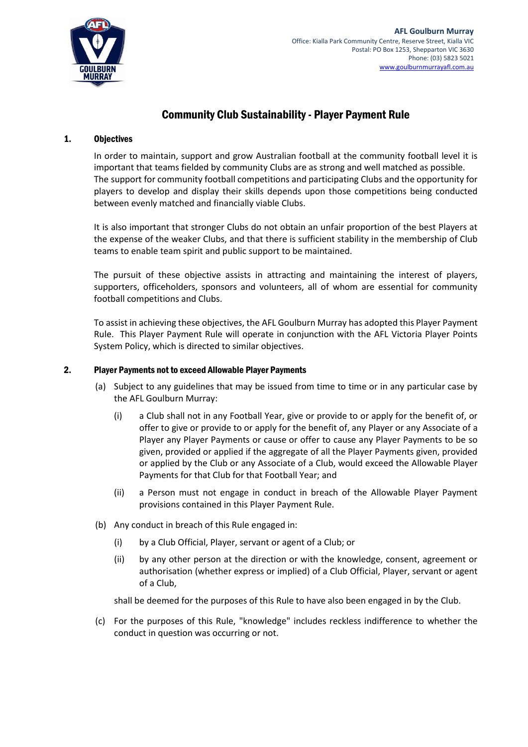

# Community Club Sustainability - Player Payment Rule

### 1. Objectives

In order to maintain, support and grow Australian football at the community football level it is important that teams fielded by community Clubs are as strong and well matched as possible. The support for community football competitions and participating Clubs and the opportunity for players to develop and display their skills depends upon those competitions being conducted between evenly matched and financially viable Clubs.

It is also important that stronger Clubs do not obtain an unfair proportion of the best Players at the expense of the weaker Clubs, and that there is sufficient stability in the membership of Club teams to enable team spirit and public support to be maintained.

The pursuit of these objective assists in attracting and maintaining the interest of players, supporters, officeholders, sponsors and volunteers, all of whom are essential for community football competitions and Clubs.

To assist in achieving these objectives, the AFL Goulburn Murray has adopted this Player Payment Rule. This Player Payment Rule will operate in conjunction with the AFL Victoria Player Points System Policy, which is directed to similar objectives.

### <span id="page-0-0"></span>2. Player Payments not to exceed Allowable Player Payments

- (a) Subject to any guidelines that may be issued from time to time or in any particular case by the AFL Goulburn Murray:
	- (i) a Club shall not in any Football Year, give or provide to or apply for the benefit of, or offer to give or provide to or apply for the benefit of, any Player or any Associate of a Player any Player Payments or cause or offer to cause any Player Payments to be so given, provided or applied if the aggregate of all the Player Payments given, provided or applied by the Club or any Associate of a Club, would exceed the Allowable Player Payments for that Club for that Football Year; and
	- (ii) a Person must not engage in conduct in breach of the Allowable Player Payment provisions contained in this Player Payment Rule.
- <span id="page-0-1"></span>(b) Any conduct in breach of this Rule engaged in:
	- (i) by a Club Official, Player, servant or agent of a Club; or
	- (ii) by any other person at the direction or with the knowledge, consent, agreement or authorisation (whether express or implied) of a Club Official, Player, servant or agent of a Club,

shall be deemed for the purposes of this Rule to have also been engaged in by the Club.

(c) For the purposes of this Rule, "knowledge" includes reckless indifference to whether the conduct in question was occurring or not.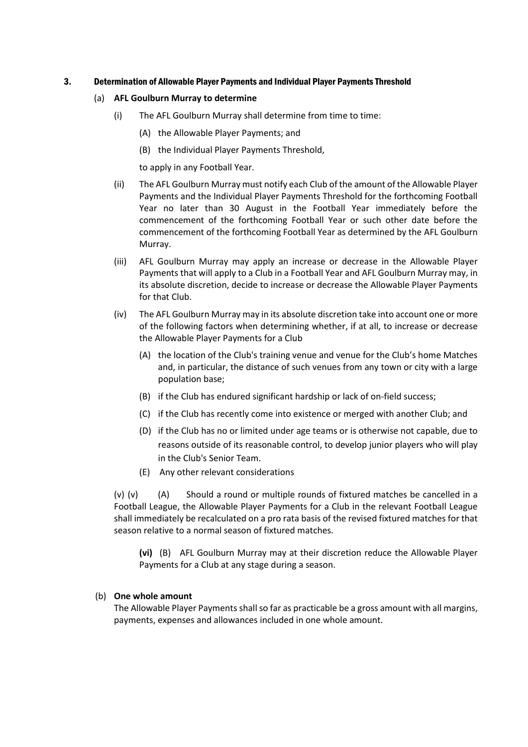#### 3. Determination of Allowable Player Payments and Individual Player Payments Threshold

#### (a) **AFL Goulburn Murray to determine**

- (i) The AFL Goulburn Murray shall determine from time to time:
	- (A) the Allowable Player Payments; and
	- (B) the Individual Player Payments Threshold,

to apply in any Football Year.

- (ii) The AFL Goulburn Murray must notify each Club of the amount of the Allowable Player Payments and the Individual Player Payments Threshold for the forthcoming Football Year no later than 30 August in the Football Year immediately before the commencement of the forthcoming Football Year or such other date before the commencement of the forthcoming Football Year as determined by the AFL Goulburn Murray.
- (iii) AFL Goulburn Murray may apply an increase or decrease in the Allowable Player Payments that will apply to a Club in a Football Year and AFL Goulburn Murray may, in its absolute discretion, decide to increase or decrease the Allowable Player Payments for that Club.
- (iv) The AFL Goulburn Murray may in its absolute discretion take into account one or more of the following factors when determining whether, if at all, to increase or decrease the Allowable Player Payments for a Club
	- (A) the location of the Club's training venue and venue for the Club's home Matches and, in particular, the distance of such venues from any town or city with a large population base;
	- (B) if the Club has endured significant hardship or lack of on-field success;
	- (C) if the Club has recently come into existence or merged with another Club; and
	- (D) if the Club has no or limited under age teams or is otherwise not capable, due to reasons outside of its reasonable control, to develop junior players who will play in the Club's Senior Team.
	- (E) Any other relevant considerations

(v) (v) (A) Should a round or multiple rounds of fixtured matches be cancelled in a Football League, the Allowable Player Payments for a Club in the relevant Football League shall immediately be recalculated on a pro rata basis of the revised fixtured matches for that season relative to a normal season of fixtured matches.

**(vi)** (B)AFL Goulburn Murray may at their discretion reduce the Allowable Player Payments for a Club at any stage during a season.

#### (b) **One whole amount**

The Allowable Player Payments shall so far as practicable be a gross amount with all margins, payments, expenses and allowances included in one whole amount.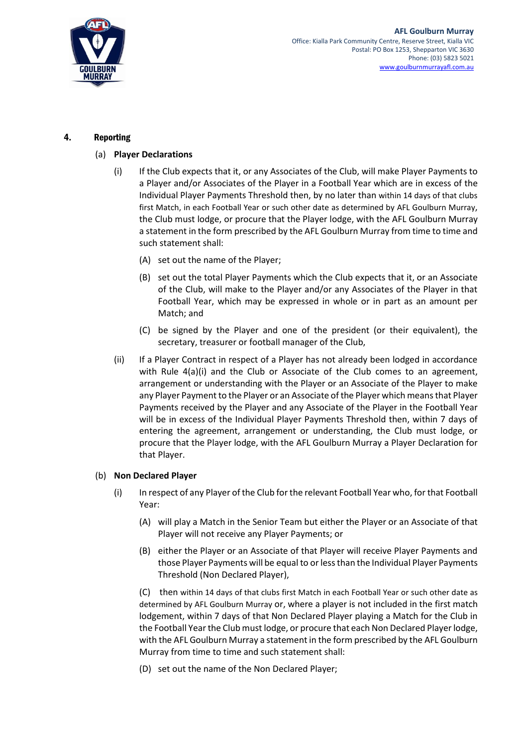

## <span id="page-2-2"></span><span id="page-2-1"></span><span id="page-2-0"></span>4. Reporting

## (a) **Player Declarations**

- (i) If the Club expects that it, or any Associates of the Club, will make Player Payments to a Player and/or Associates of the Player in a Football Year which are in excess of the Individual Player Payments Threshold then, by no later than within 14 days of that clubs first Match, in each Football Year or such other date as determined by AFL Goulburn Murray, the Club must lodge, or procure that the Player lodge, with the AFL Goulburn Murray a statement in the form prescribed by the AFL Goulburn Murray from time to time and such statement shall:
	- (A) set out the name of the Player;
	- (B) set out the total Player Payments which the Club expects that it, or an Associate of the Club, will make to the Player and/or any Associates of the Player in that Football Year, which may be expressed in whole or in part as an amount per Match; and
	- (C) be signed by the Player and one of the president (or their equivalent), the secretary, treasurer or football manager of the Club,
- (ii) If a Player Contract in respect of a Player has not already been lodged in accordance with Rule [4\(a\)\(i\)](#page-2-0) and the Club or Associate of the Club comes to an agreement, arrangement or understanding with the Player or an Associate of the Player to make any Player Payment to the Player or an Associate of the Player which means that Player Payments received by the Player and any Associate of the Player in the Football Year will be in excess of the Individual Player Payments Threshold then, within 7 days of entering the agreement, arrangement or understanding, the Club must lodge, or procure that the Player lodge, with the AFL Goulburn Murray a Player Declaration for that Player.

## (b) **Non Declared Player**

- (i) In respect of any Player of the Club for the relevant Football Year who, for that Football Year:
	- (A) will play a Match in the Senior Team but either the Player or an Associate of that Player will not receive any Player Payments; or
	- (B) either the Player or an Associate of that Player will receive Player Payments and those Player Payments will be equal to or less than the Individual Player Payments Threshold (Non Declared Player),

(C) then within 14 days of that clubs first Match in each Football Year or such other date as determined by AFL Goulburn Murray or, where a player is not included in the first match lodgement, within 7 days of that Non Declared Player playing a Match for the Club in the Football Year the Club must lodge, or procure that each Non Declared Player lodge, with the AFL Goulburn Murray a statement in the form prescribed by the AFL Goulburn Murray from time to time and such statement shall:

(D) set out the name of the Non Declared Player;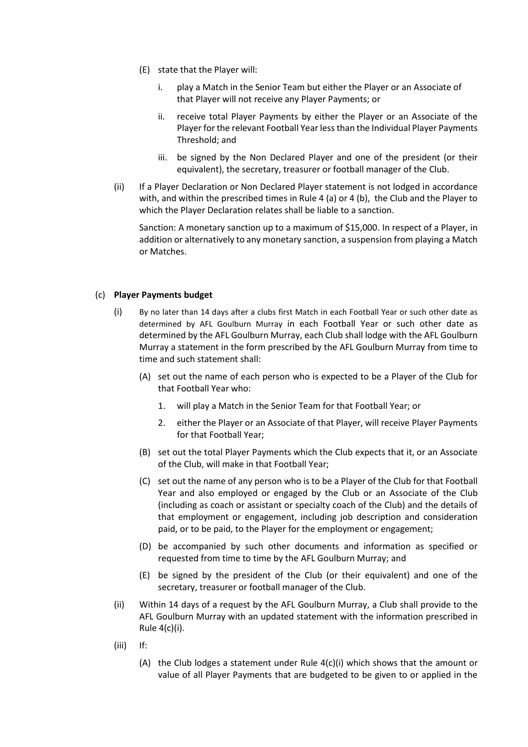- (E) state that the Player will:
	- i. play a Match in the Senior Team but either the Player or an Associate of that Player will not receive any Player Payments; or
	- ii. receive total Player Payments by either the Player or an Associate of the Player for the relevant Football Year less than the Individual Player Payments Threshold; and
	- iii. be signed by the Non Declared Player and one of the president (or their equivalent), the secretary, treasurer or football manager of the Club.
- (ii) If a Player Declaration or Non Declared Player statement is not lodged in accordance with, and within the prescribed times in Rule 4 (a) or 4 (b), the Club and the Player to which the Player Declaration relates shall be liable to a sanction.

Sanction: A monetary sanction up to a maximum of \$15,000. In respect of a Player, in addition or alternatively to any monetary sanction, a suspension from playing a Match or Matches.

#### (c) **Player Payments budget**

- (i) By no later than 14 days after a clubs first Match in each Football Year or such other date as determined by AFL Goulburn Murray in each Football Year or such other date as determined by the AFL Goulburn Murray, each Club shall lodge with the AFL Goulburn Murray a statement in the form prescribed by the AFL Goulburn Murray from time to time and such statement shall:
	- (A) set out the name of each person who is expected to be a Player of the Club for that Football Year who:
		- 1. will play a Match in the Senior Team for that Football Year; or
		- 2. either the Player or an Associate of that Player, will receive Player Payments for that Football Year;
	- (B) set out the total Player Payments which the Club expects that it, or an Associate of the Club, will make in that Football Year;
	- (C) set out the name of any person who is to be a Player of the Club for that Football Year and also employed or engaged by the Club or an Associate of the Club (including as coach or assistant or specialty coach of the Club) and the details of that employment or engagement, including job description and consideration paid, or to be paid, to the Player for the employment or engagement;
	- (D) be accompanied by such other documents and information as specified or requested from time to time by the AFL Goulburn Murray; and
	- (E) be signed by the president of the Club (or their equivalent) and one of the secretary, treasurer or football manager of the Club.
- (ii) Within 14 days of a request by the AFL Goulburn Murray, a Club shall provide to the AFL Goulburn Murray with an updated statement with the information prescribed in Rule 4(c)(i).
- (iii) If:
	- (A) the Club lodges a statement under Rule 4(c)(i) which shows that the amount or value of all Player Payments that are budgeted to be given to or applied in the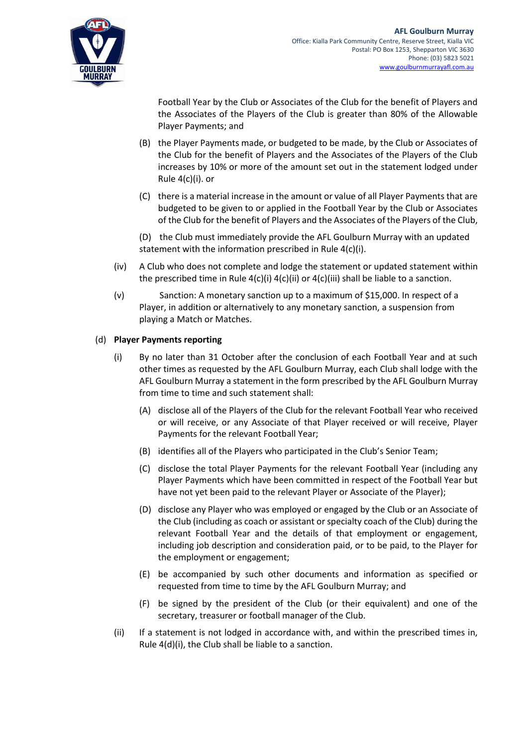

Football Year by the Club or Associates of the Club for the benefit of Players and the Associates of the Players of the Club is greater than 80% of the Allowable Player Payments; and

- (B) the Player Payments made, or budgeted to be made, by the Club or Associates of the Club for the benefit of Players and the Associates of the Players of the Club increases by 10% or more of the amount set out in the statement lodged under Rule 4(c)(i). or
- (C) there is a material increase in the amount or value of all Player Payments that are budgeted to be given to or applied in the Football Year by the Club or Associates of the Club for the benefit of Players and the Associates of the Players of the Club,
- (D) the Club must immediately provide the AFL Goulburn Murray with an updated statement with the information prescribed in Rule 4(c)(i).
- (iv) A Club who does not complete and lodge the statement or updated statement within the prescribed time in Rule  $4(c)(i)$   $4(c)(ii)$  or  $4(c)(iii)$  shall be liable to a sanction.
- (v) Sanction: A monetary sanction up to a maximum of \$15,000. In respect of a Player, in addition or alternatively to any monetary sanction, a suspension from playing a Match or Matches.

## <span id="page-4-0"></span>(d) **Player Payments reporting**

- (i) By no later than 31 October after the conclusion of each Football Year and at such other times as requested by the AFL Goulburn Murray, each Club shall lodge with the AFL Goulburn Murray a statement in the form prescribed by the AFL Goulburn Murray from time to time and such statement shall:
	- (A) disclose all of the Players of the Club for the relevant Football Year who received or will receive, or any Associate of that Player received or will receive, Player Payments for the relevant Football Year;
	- (B) identifies all of the Players who participated in the Club's Senior Team;
	- (C) disclose the total Player Payments for the relevant Football Year (including any Player Payments which have been committed in respect of the Football Year but have not yet been paid to the relevant Player or Associate of the Player);
	- (D) disclose any Player who was employed or engaged by the Club or an Associate of the Club (including as coach or assistant or specialty coach of the Club) during the relevant Football Year and the details of that employment or engagement, including job description and consideration paid, or to be paid, to the Player for the employment or engagement;
	- (E) be accompanied by such other documents and information as specified or requested from time to time by the AFL Goulburn Murray; and
	- (F) be signed by the president of the Club (or their equivalent) and one of the secretary, treasurer or football manager of the Club.
- (ii) If a statement is not lodged in accordance with, and within the prescribed times in, Rule [4\(d\)\(i\),](#page-4-0) the Club shall be liable to a sanction.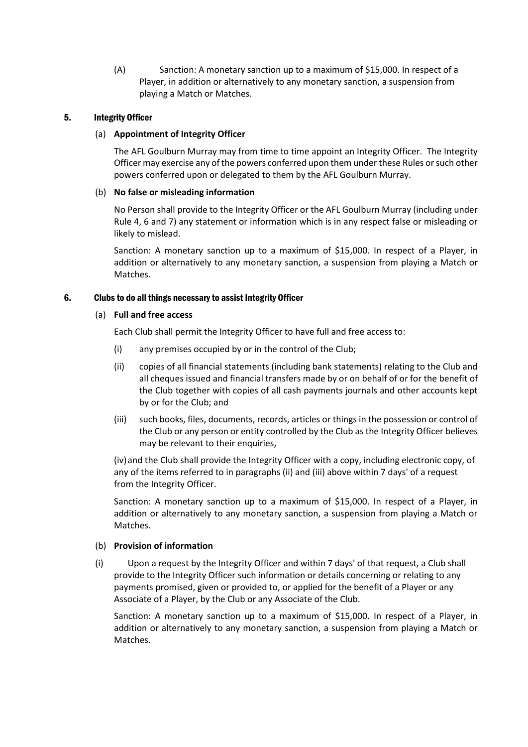(A) Sanction: A monetary sanction up to a maximum of \$15,000. In respect of a Player, in addition or alternatively to any monetary sanction, a suspension from playing a Match or Matches.

## 5. Integrity Officer

#### (a) **Appointment of Integrity Officer**

The AFL Goulburn Murray may from time to time appoint an Integrity Officer. The Integrity Officer may exercise any of the powers conferred upon them under these Rules or such other powers conferred upon or delegated to them by the AFL Goulburn Murray.

## (b) **No false or misleading information**

No Person shall provide to the Integrity Officer or the AFL Goulburn Murray (including under Rule [4,](#page-2-1) [6](#page-5-0) and [7\)](#page-6-0) any statement or information which is in any respect false or misleading or likely to mislead.

Sanction: A monetary sanction up to a maximum of \$15,000. In respect of a Player, in addition or alternatively to any monetary sanction, a suspension from playing a Match or Matches.

## <span id="page-5-0"></span>6. Clubs to do all things necessary to assist Integrity Officer

#### (a) **Full and free access**

Each Club shall permit the Integrity Officer to have full and free access to:

- (i) any premises occupied by or in the control of the Club;
- (ii) copies of all financial statements (including bank statements) relating to the Club and all cheques issued and financial transfers made by or on behalf of or for the benefit of the Club together with copies of all cash payments journals and other accounts kept by or for the Club; and
- (iii) such books, files, documents, records, articles or things in the possession or control of the Club or any person or entity controlled by the Club as the Integrity Officer believes may be relevant to their enquiries,

(iv)and the Club shall provide the Integrity Officer with a copy, including electronic copy, of any of the items referred to in paragraphs (ii) and (iii) above within 7 days' of a request from the Integrity Officer.

Sanction: A monetary sanction up to a maximum of \$15,000. In respect of a Player, in addition or alternatively to any monetary sanction, a suspension from playing a Match or Matches.

## (b) **Provision of information**

(i) Upon a request by the Integrity Officer and within 7 days' of that request, a Club shall provide to the Integrity Officer such information or details concerning or relating to any payments promised, given or provided to, or applied for the benefit of a Player or any Associate of a Player, by the Club or any Associate of the Club.

Sanction: A monetary sanction up to a maximum of \$15,000. In respect of a Player, in addition or alternatively to any monetary sanction, a suspension from playing a Match or Matches.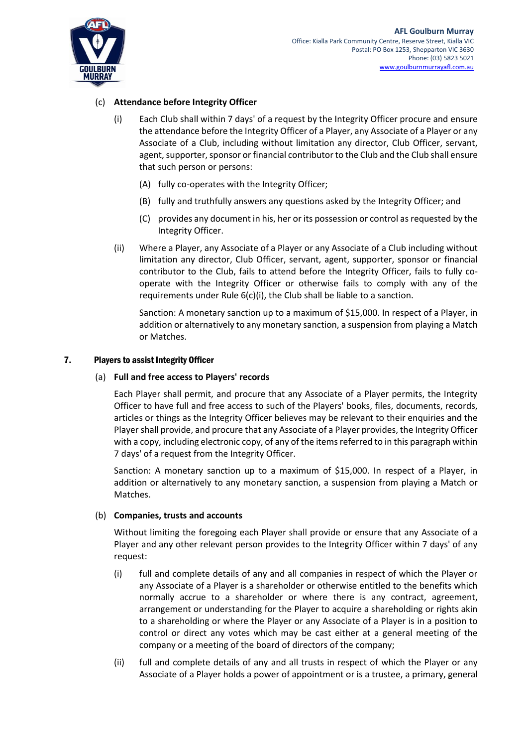

## <span id="page-6-1"></span>(c) **Attendance before Integrity Officer**

- (i) Each Club shall within 7 days' of a request by the Integrity Officer procure and ensure the attendance before the Integrity Officer of a Player, any Associate of a Player or any Associate of a Club, including without limitation any director, Club Officer, servant, agent, supporter, sponsor or financial contributor to the Club and the Club shall ensure that such person or persons:
	- (A) fully co-operates with the Integrity Officer;
	- (B) fully and truthfully answers any questions asked by the Integrity Officer; and
	- (C) provides any document in his, her or its possession or control as requested by the Integrity Officer.
- (ii) Where a Player, any Associate of a Player or any Associate of a Club including without limitation any director, Club Officer, servant, agent, supporter, sponsor or financial contributor to the Club, fails to attend before the Integrity Officer, fails to fully cooperate with the Integrity Officer or otherwise fails to comply with any of the requirements under Rul[e 6\(c\)\(i\),](#page-6-1) the Club shall be liable to a sanction.

Sanction: A monetary sanction up to a maximum of \$15,000. In respect of a Player, in addition or alternatively to any monetary sanction, a suspension from playing a Match or Matches.

#### <span id="page-6-0"></span>7. Players to assist Integrity Officer

### (a) **Full and free access to Players' records**

Each Player shall permit, and procure that any Associate of a Player permits, the Integrity Officer to have full and free access to such of the Players' books, files, documents, records, articles or things as the Integrity Officer believes may be relevant to their enquiries and the Player shall provide, and procure that any Associate of a Player provides, the Integrity Officer with a copy, including electronic copy, of any of the items referred to in this paragraph within 7 days' of a request from the Integrity Officer.

Sanction: A monetary sanction up to a maximum of \$15,000. In respect of a Player, in addition or alternatively to any monetary sanction, a suspension from playing a Match or Matches.

#### (b) **Companies, trusts and accounts**

Without limiting the foregoing each Player shall provide or ensure that any Associate of a Player and any other relevant person provides to the Integrity Officer within 7 days' of any request:

- (i) full and complete details of any and all companies in respect of which the Player or any Associate of a Player is a shareholder or otherwise entitled to the benefits which normally accrue to a shareholder or where there is any contract, agreement, arrangement or understanding for the Player to acquire a shareholding or rights akin to a shareholding or where the Player or any Associate of a Player is in a position to control or direct any votes which may be cast either at a general meeting of the company or a meeting of the board of directors of the company;
- (ii) full and complete details of any and all trusts in respect of which the Player or any Associate of a Player holds a power of appointment or is a trustee, a primary, general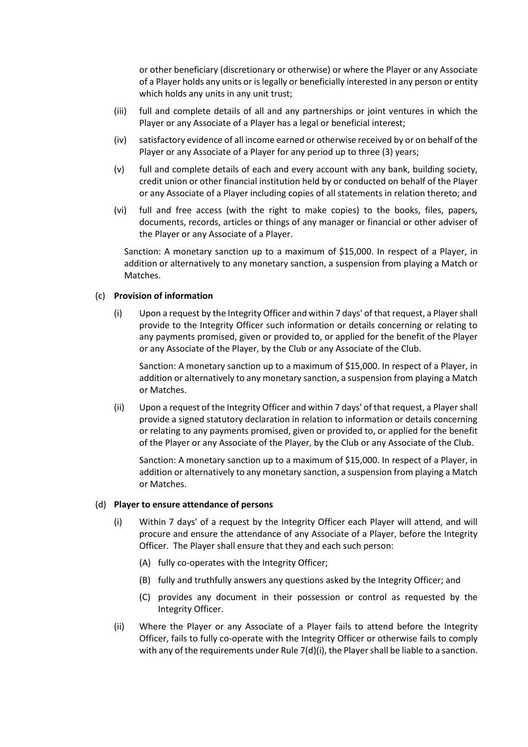or other beneficiary (discretionary or otherwise) or where the Player or any Associate of a Player holds any units or is legally or beneficially interested in any person or entity which holds any units in any unit trust;

- (iii) full and complete details of all and any partnerships or joint ventures in which the Player or any Associate of a Player has a legal or beneficial interest;
- (iv) satisfactory evidence of all income earned or otherwise received by or on behalf of the Player or any Associate of a Player for any period up to three (3) years;
- (v) full and complete details of each and every account with any bank, building society, credit union or other financial institution held by or conducted on behalf of the Player or any Associate of a Player including copies of all statements in relation thereto; and
- (vi) full and free access (with the right to make copies) to the books, files, papers, documents, records, articles or things of any manager or financial or other adviser of the Player or any Associate of a Player.

Sanction: A monetary sanction up to a maximum of \$15,000. In respect of a Player, in addition or alternatively to any monetary sanction, a suspension from playing a Match or Matches.

#### (c) **Provision of information**

(i) Upon a request by the Integrity Officer and within 7 days' of that request, a Player shall provide to the Integrity Officer such information or details concerning or relating to any payments promised, given or provided to, or applied for the benefit of the Player or any Associate of the Player, by the Club or any Associate of the Club.

Sanction: A monetary sanction up to a maximum of \$15,000. In respect of a Player, in addition or alternatively to any monetary sanction, a suspension from playing a Match or Matches.

(ii) Upon a request of the Integrity Officer and within 7 days' of that request, a Player shall provide a signed statutory declaration in relation to information or details concerning or relating to any payments promised, given or provided to, or applied for the benefit of the Player or any Associate of the Player, by the Club or any Associate of the Club.

Sanction: A monetary sanction up to a maximum of \$15,000. In respect of a Player, in addition or alternatively to any monetary sanction, a suspension from playing a Match or Matches.

#### <span id="page-7-0"></span>(d) **Player to ensure attendance of persons**

- (i) Within 7 days' of a request by the Integrity Officer each Player will attend, and will procure and ensure the attendance of any Associate of a Player, before the Integrity Officer. The Player shall ensure that they and each such person:
	- (A) fully co-operates with the Integrity Officer;
	- (B) fully and truthfully answers any questions asked by the Integrity Officer; and
	- (C) provides any document in their possession or control as requested by the Integrity Officer.
- (ii) Where the Player or any Associate of a Player fails to attend before the Integrity Officer, fails to fully co-operate with the Integrity Officer or otherwise fails to comply with any of the requirements under Rule  $7(d)(i)$ , the Player shall be liable to a sanction.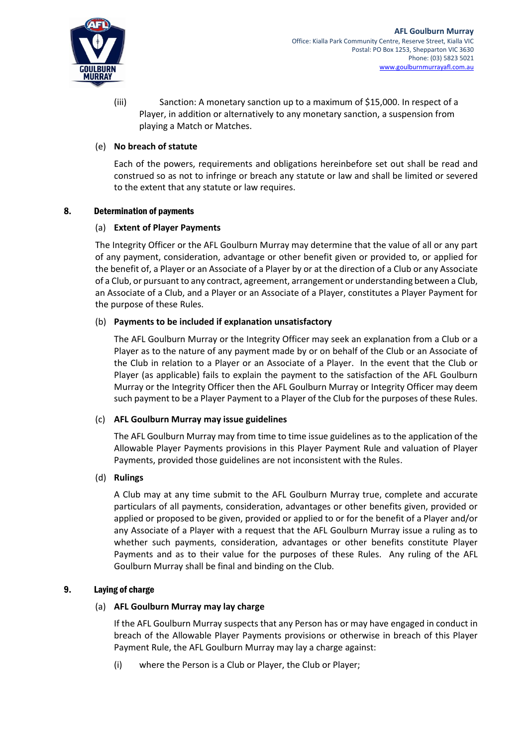

(iii) Sanction: A monetary sanction up to a maximum of \$15,000. In respect of a Player, in addition or alternatively to any monetary sanction, a suspension from playing a Match or Matches.

## (e) **No breach of statute**

Each of the powers, requirements and obligations hereinbefore set out shall be read and construed so as not to infringe or breach any statute or law and shall be limited or severed to the extent that any statute or law requires.

#### 8. Determination of payments

## (a) **Extent of Player Payments**

The Integrity Officer or the AFL Goulburn Murray may determine that the value of all or any part of any payment, consideration, advantage or other benefit given or provided to, or applied for the benefit of, a Player or an Associate of a Player by or at the direction of a Club or any Associate of a Club, or pursuant to any contract, agreement, arrangement or understanding between a Club, an Associate of a Club, and a Player or an Associate of a Player, constitutes a Player Payment for the purpose of these Rules.

## (b) **Payments to be included if explanation unsatisfactory**

The AFL Goulburn Murray or the Integrity Officer may seek an explanation from a Club or a Player as to the nature of any payment made by or on behalf of the Club or an Associate of the Club in relation to a Player or an Associate of a Player. In the event that the Club or Player (as applicable) fails to explain the payment to the satisfaction of the AFL Goulburn Murray or the Integrity Officer then the AFL Goulburn Murray or Integrity Officer may deem such payment to be a Player Payment to a Player of the Club for the purposes of these Rules.

#### (c) **AFL Goulburn Murray may issue guidelines**

The AFL Goulburn Murray may from time to time issue guidelines as to the application of the Allowable Player Payments provisions in this Player Payment Rule and valuation of Player Payments, provided those guidelines are not inconsistent with the Rules.

## (d) **Rulings**

A Club may at any time submit to the AFL Goulburn Murray true, complete and accurate particulars of all payments, consideration, advantages or other benefits given, provided or applied or proposed to be given, provided or applied to or for the benefit of a Player and/or any Associate of a Player with a request that the AFL Goulburn Murray issue a ruling as to whether such payments, consideration, advantages or other benefits constitute Player Payments and as to their value for the purposes of these Rules. Any ruling of the AFL Goulburn Murray shall be final and binding on the Club.

#### <span id="page-8-0"></span>9. Laying of charge

#### (a) **AFL Goulburn Murray may lay charge**

If the AFL Goulburn Murray suspects that any Person has or may have engaged in conduct in breach of the Allowable Player Payments provisions or otherwise in breach of this Player Payment Rule, the AFL Goulburn Murray may lay a charge against:

(i) where the Person is a Club or Player, the Club or Player;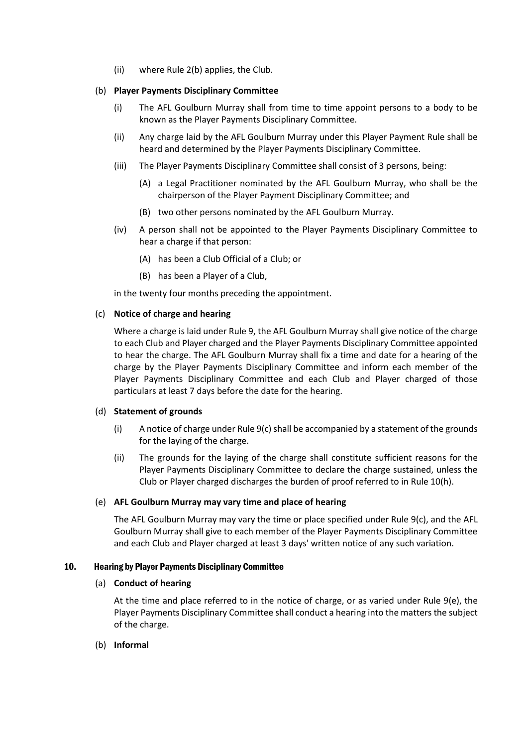(ii) where Rule [2](#page-0-0)[\(b\)](#page-0-1) applies, the Club.

### <span id="page-9-4"></span>(b) **Player Payments Disciplinary Committee**

- (i) The AFL Goulburn Murray shall from time to time appoint persons to a body to be known as the Player Payments Disciplinary Committee.
- (ii) Any charge laid by the AFL Goulburn Murray under this Player Payment Rule shall be heard and determined by the Player Payments Disciplinary Committee.
- (iii) The Player Payments Disciplinary Committee shall consist of 3 persons, being:
	- (A) a Legal Practitioner nominated by the AFL Goulburn Murray, who shall be the chairperson of the Player Payment Disciplinary Committee; and
	- (B) two other persons nominated by the AFL Goulburn Murray.
- (iv) A person shall not be appointed to the Player Payments Disciplinary Committee to hear a charge if that person:
	- (A) has been a Club Official of a Club; or
	- (B) has been a Player of a Club,

in the twenty four months preceding the appointment.

#### <span id="page-9-0"></span>(c) **Notice of charge and hearing**

Where a charge is laid under Rule [9,](#page-8-0) the AFL Goulburn Murray shall give notice of the charge to each Club and Player charged and the Player Payments Disciplinary Committee appointed to hear the charge. The AFL Goulburn Murray shall fix a time and date for a hearing of the charge by the Player Payments Disciplinary Committee and inform each member of the Player Payments Disciplinary Committee and each Club and Player charged of those particulars at least 7 days before the date for the hearing.

#### (d) **Statement of grounds**

- (i) A notice of charge under Rule  $9(c)$  $9(c)$  shall be accompanied by a statement of the grounds for the laying of the charge.
- (ii) The grounds for the laying of the charge shall constitute sufficient reasons for the Player Payments Disciplinary Committee to declare the charge sustained, unless the Club or Player charged discharges the burden of proof referred to in Rul[e 10](#page-9-1)[\(h\).](#page-10-0)

#### <span id="page-9-2"></span>(e) **AFL Goulburn Murray may vary time and place of hearing**

The AFL Goulburn Murray may vary the time or place specified under Rule [9](#page-8-0)[\(c\),](#page-9-0) and the AFL Goulburn Murray shall give to each member of the Player Payments Disciplinary Committee and each Club and Player charged at least 3 days' written notice of any such variation.

#### <span id="page-9-3"></span><span id="page-9-1"></span>10. Hearing by Player Payments Disciplinary Committee

#### (a) **Conduct of hearing**

At the time and place referred to in the notice of charge, or as varied under Rule [9](#page-8-0)[\(e\),](#page-9-2) the Player Payments Disciplinary Committee shall conduct a hearing into the matters the subject of the charge.

### (b) **Informal**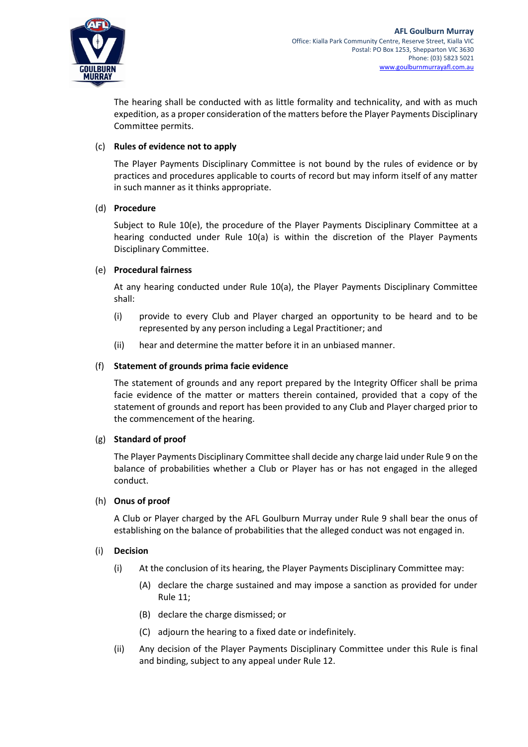

The hearing shall be conducted with as little formality and technicality, and with as much expedition, as a proper consideration of the matters before the Player Payments Disciplinary Committee permits.

## (c) **Rules of evidence not to apply**

The Player Payments Disciplinary Committee is not bound by the rules of evidence or by practices and procedures applicable to courts of record but may inform itself of any matter in such manner as it thinks appropriate.

#### (d) **Procedure**

Subject to Rule [10](#page-9-1)[\(e\),](#page-10-1) the procedure of the Player Payments Disciplinary Committee at a hearing conducted under Rule [10](#page-9-1)[\(a\)](#page-9-3) is within the discretion of the Player Payments Disciplinary Committee.

## <span id="page-10-1"></span>(e) **Procedural fairness**

At any hearing conducted under Rule [10](#page-9-1)[\(a\),](#page-9-3) the Player Payments Disciplinary Committee shall:

- (i) provide to every Club and Player charged an opportunity to be heard and to be represented by any person including a Legal Practitioner; and
- (ii) hear and determine the matter before it in an unbiased manner.

## (f) **Statement of grounds prima facie evidence**

The statement of grounds and any report prepared by the Integrity Officer shall be prima facie evidence of the matter or matters therein contained, provided that a copy of the statement of grounds and report has been provided to any Club and Player charged prior to the commencement of the hearing.

#### (g) **Standard of proof**

The Player Payments Disciplinary Committee shall decide any charge laid under Rul[e 9](#page-8-0) on the balance of probabilities whether a Club or Player has or has not engaged in the alleged conduct.

#### <span id="page-10-0"></span>(h) **Onus of proof**

A Club or Player charged by the AFL Goulburn Murray under Rule [9](#page-8-0) shall bear the onus of establishing on the balance of probabilities that the alleged conduct was not engaged in.

#### <span id="page-10-2"></span>(i) **Decision**

- (i) At the conclusion of its hearing, the Player Payments Disciplinary Committee may:
	- (A) declare the charge sustained and may impose a sanction as provided for under Rul[e 11;](#page-11-0)
	- (B) declare the charge dismissed; or
	- (C) adjourn the hearing to a fixed date or indefinitely.
- (ii) Any decision of the Player Payments Disciplinary Committee under this Rule is final and binding, subject to any appeal under Rule 12.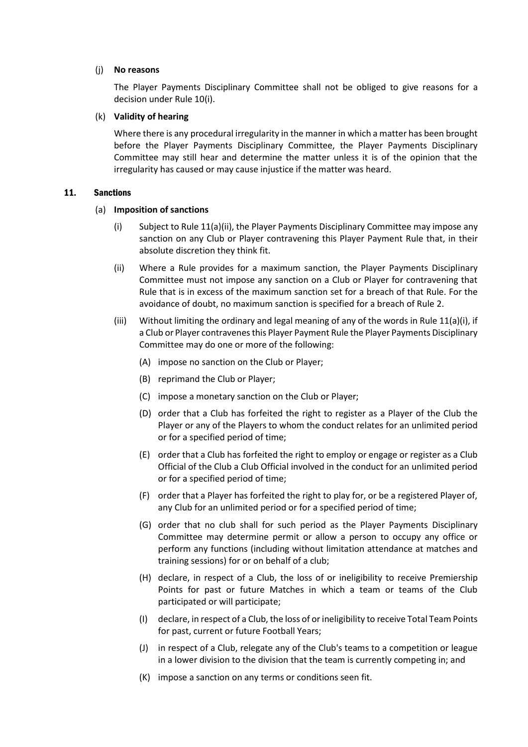#### (j) **No reasons**

The Player Payments Disciplinary Committee shall not be obliged to give reasons for a decision under Rule [10](#page-9-1)[\(i\).](#page-10-2)

#### (k) **Validity of hearing**

Where there is any procedural irregularity in the manner in which a matter has been brought before the Player Payments Disciplinary Committee, the Player Payments Disciplinary Committee may still hear and determine the matter unless it is of the opinion that the irregularity has caused or may cause injustice if the matter was heard.

#### <span id="page-11-3"></span><span id="page-11-1"></span><span id="page-11-0"></span>11. Sanctions

#### (a) **Imposition of sanctions**

- (i) Subject to Rul[e 11](#page-11-0)[\(a\)](#page-11-1)[\(ii\),](#page-11-2) the Player Payments Disciplinary Committee may impose any sanction on any Club or Player contravening this Player Payment Rule that, in their absolute discretion they think fit.
- <span id="page-11-2"></span>(ii) Where a Rule provides for a maximum sanction, the Player Payments Disciplinary Committee must not impose any sanction on a Club or Player for contravening that Rule that is in excess of the maximum sanction set for a breach of that Rule. For the avoidance of doubt, no maximum sanction is specified for a breach of Rule [2.](#page-0-0)
- (iii) Without limiting the ordinary and legal meaning of any of the words in Rule  $11(a)(i)$  $11(a)(i)$  $11(a)(i)$ , if a Club or Player contravenes this Player Payment Rule the Player Payments Disciplinary Committee may do one or more of the following:
	- (A) impose no sanction on the Club or Player;
	- (B) reprimand the Club or Player;
	- (C) impose a monetary sanction on the Club or Player;
	- (D) order that a Club has forfeited the right to register as a Player of the Club the Player or any of the Players to whom the conduct relates for an unlimited period or for a specified period of time;
	- (E) order that a Club has forfeited the right to employ or engage or register as a Club Official of the Club a Club Official involved in the conduct for an unlimited period or for a specified period of time;
	- (F) order that a Player has forfeited the right to play for, or be a registered Player of, any Club for an unlimited period or for a specified period of time;
	- (G) order that no club shall for such period as the Player Payments Disciplinary Committee may determine permit or allow a person to occupy any office or perform any functions (including without limitation attendance at matches and training sessions) for or on behalf of a club;
	- (H) declare, in respect of a Club, the loss of or ineligibility to receive Premiership Points for past or future Matches in which a team or teams of the Club participated or will participate;
	- (I) declare, in respect of a Club, the loss of or ineligibility to receive Total Team Points for past, current or future Football Years;
	- (J) in respect of a Club, relegate any of the Club's teams to a competition or league in a lower division to the division that the team is currently competing in; and
	- (K) impose a sanction on any terms or conditions seen fit.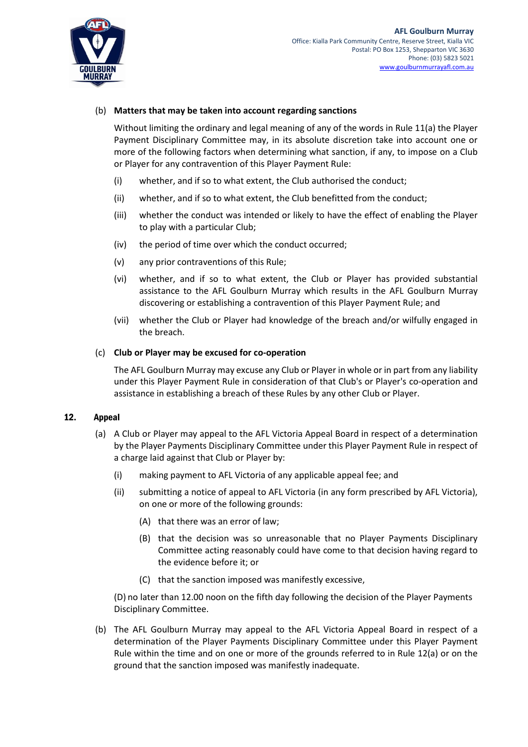

## (b) **Matters that may be taken into account regarding sanctions**

Without limiting the ordinary and legal meaning of any of the words in Rule [11](#page-11-0)[\(a\)](#page-11-1) the Player Payment Disciplinary Committee may, in its absolute discretion take into account one or more of the following factors when determining what sanction, if any, to impose on a Club or Player for any contravention of this Player Payment Rule:

- (i) whether, and if so to what extent, the Club authorised the conduct;
- (ii) whether, and if so to what extent, the Club benefitted from the conduct;
- (iii) whether the conduct was intended or likely to have the effect of enabling the Player to play with a particular Club;
- (iv) the period of time over which the conduct occurred;
- (v) any prior contraventions of this Rule;
- (vi) whether, and if so to what extent, the Club or Player has provided substantial assistance to the AFL Goulburn Murray which results in the AFL Goulburn Murray discovering or establishing a contravention of this Player Payment Rule; and
- (vii) whether the Club or Player had knowledge of the breach and/or wilfully engaged in the breach.

#### (c) **Club or Player may be excused for co-operation**

The AFL Goulburn Murray may excuse any Club or Player in whole or in part from any liability under this Player Payment Rule in consideration of that Club's or Player's co-operation and assistance in establishing a breach of these Rules by any other Club or Player.

#### <span id="page-12-1"></span><span id="page-12-0"></span>12. Appeal

- (a) A Club or Player may appeal to the AFL Victoria Appeal Board in respect of a determination by the Player Payments Disciplinary Committee under this Player Payment Rule in respect of a charge laid against that Club or Player by:
	- (i) making payment to AFL Victoria of any applicable appeal fee; and
	- (ii) submitting a notice of appeal to AFL Victoria (in any form prescribed by AFL Victoria), on one or more of the following grounds:
		- (A) that there was an error of law;
		- (B) that the decision was so unreasonable that no Player Payments Disciplinary Committee acting reasonably could have come to that decision having regard to the evidence before it; or
		- (C) that the sanction imposed was manifestly excessive,

(D) no later than 12.00 noon on the fifth day following the decision of the Player Payments Disciplinary Committee.

(b) The AFL Goulburn Murray may appeal to the AFL Victoria Appeal Board in respect of a determination of the Player Payments Disciplinary Committee under this Player Payment Rule within the time and on one or more of the grounds referred to in Rule [12](#page-12-0)[\(a\)](#page-12-1) or on the ground that the sanction imposed was manifestly inadequate.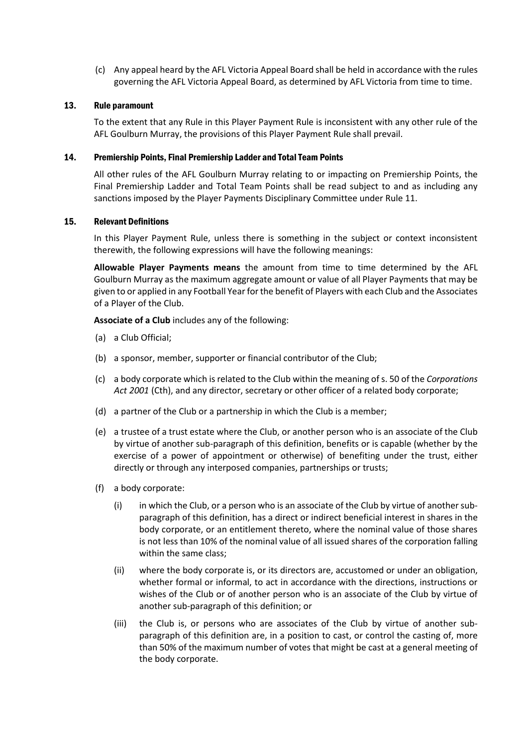(c) Any appeal heard by the AFL Victoria Appeal Board shall be held in accordance with the rules governing the AFL Victoria Appeal Board, as determined by AFL Victoria from time to time.

#### 13. Rule paramount

To the extent that any Rule in this Player Payment Rule is inconsistent with any other rule of the AFL Goulburn Murray, the provisions of this Player Payment Rule shall prevail.

#### 14. Premiership Points, Final Premiership Ladder and Total Team Points

All other rules of the AFL Goulburn Murray relating to or impacting on Premiership Points, the Final Premiership Ladder and Total Team Points shall be read subject to and as including any sanctions imposed by the Player Payments Disciplinary Committee under Rule [11.](#page-11-0)

#### 15. Relevant Definitions

In this Player Payment Rule, unless there is something in the subject or context inconsistent therewith, the following expressions will have the following meanings:

**Allowable Player Payments means** the amount from time to time determined by the AFL Goulburn Murray as the maximum aggregate amount or value of all Player Payments that may be given to or applied in any Football Year for the benefit of Players with each Club and the Associates of a Player of the Club.

**Associate of a Club** includes any of the following:

- (a) a Club Official;
- (b) a sponsor, member, supporter or financial contributor of the Club;
- (c) a body corporate which is related to the Club within the meaning of s. 50 of the *Corporations Act 2001* (Cth), and any director, secretary or other officer of a related body corporate;
- (d) a partner of the Club or a partnership in which the Club is a member;
- (e) a trustee of a trust estate where the Club, or another person who is an associate of the Club by virtue of another sub-paragraph of this definition, benefits or is capable (whether by the exercise of a power of appointment or otherwise) of benefiting under the trust, either directly or through any interposed companies, partnerships or trusts;
- (f) a body corporate:
	- (i) in which the Club, or a person who is an associate of the Club by virtue of another subparagraph of this definition, has a direct or indirect beneficial interest in shares in the body corporate, or an entitlement thereto, where the nominal value of those shares is not less than 10% of the nominal value of all issued shares of the corporation falling within the same class;
	- (ii) where the body corporate is, or its directors are, accustomed or under an obligation, whether formal or informal, to act in accordance with the directions, instructions or wishes of the Club or of another person who is an associate of the Club by virtue of another sub-paragraph of this definition; or
	- (iii) the Club is, or persons who are associates of the Club by virtue of another subparagraph of this definition are, in a position to cast, or control the casting of, more than 50% of the maximum number of votes that might be cast at a general meeting of the body corporate.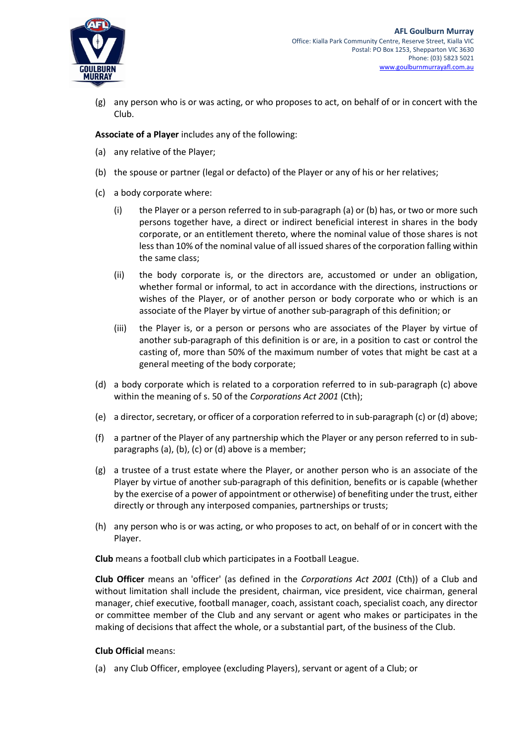

(g) any person who is or was acting, or who proposes to act, on behalf of or in concert with the Club.

**Associate of a Player** includes any of the following:

- (a) any relative of the Player;
- (b) the spouse or partner (legal or defacto) of the Player or any of his or her relatives;
- (c) a body corporate where:
	- (i) the Player or a person referred to in sub-paragraph (a) or (b) has, or two or more such persons together have, a direct or indirect beneficial interest in shares in the body corporate, or an entitlement thereto, where the nominal value of those shares is not less than 10% of the nominal value of all issued shares of the corporation falling within the same class;
	- (ii) the body corporate is, or the directors are, accustomed or under an obligation, whether formal or informal, to act in accordance with the directions, instructions or wishes of the Player, or of another person or body corporate who or which is an associate of the Player by virtue of another sub-paragraph of this definition; or
	- (iii) the Player is, or a person or persons who are associates of the Player by virtue of another sub-paragraph of this definition is or are, in a position to cast or control the casting of, more than 50% of the maximum number of votes that might be cast at a general meeting of the body corporate;
- (d) a body corporate which is related to a corporation referred to in sub-paragraph (c) above within the meaning of s. 50 of the *Corporations Act 2001* (Cth);
- (e) a director, secretary, or officer of a corporation referred to in sub-paragraph (c) or (d) above;
- (f) a partner of the Player of any partnership which the Player or any person referred to in subparagraphs (a), (b), (c) or (d) above is a member;
- (g) a trustee of a trust estate where the Player, or another person who is an associate of the Player by virtue of another sub-paragraph of this definition, benefits or is capable (whether by the exercise of a power of appointment or otherwise) of benefiting under the trust, either directly or through any interposed companies, partnerships or trusts;
- (h) any person who is or was acting, or who proposes to act, on behalf of or in concert with the Player.

**Club** means a football club which participates in a Football League.

**Club Officer** means an 'officer' (as defined in the *Corporations Act 2001* (Cth)) of a Club and without limitation shall include the president, chairman, vice president, vice chairman, general manager, chief executive, football manager, coach, assistant coach, specialist coach, any director or committee member of the Club and any servant or agent who makes or participates in the making of decisions that affect the whole, or a substantial part, of the business of the Club.

#### **Club Official** means:

(a) any Club Officer, employee (excluding Players), servant or agent of a Club; or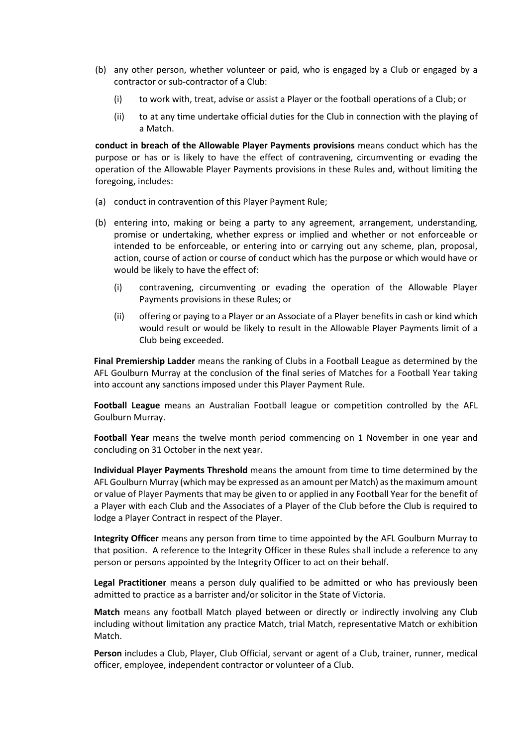- (b) any other person, whether volunteer or paid, who is engaged by a Club or engaged by a contractor or sub-contractor of a Club:
	- (i) to work with, treat, advise or assist a Player or the football operations of a Club; or
	- (ii) to at any time undertake official duties for the Club in connection with the playing of a Match.

**conduct in breach of the Allowable Player Payments provisions** means conduct which has the purpose or has or is likely to have the effect of contravening, circumventing or evading the operation of the Allowable Player Payments provisions in these Rules and, without limiting the foregoing, includes:

- (a) conduct in contravention of this Player Payment Rule;
- (b) entering into, making or being a party to any agreement, arrangement, understanding, promise or undertaking, whether express or implied and whether or not enforceable or intended to be enforceable, or entering into or carrying out any scheme, plan, proposal, action, course of action or course of conduct which has the purpose or which would have or would be likely to have the effect of:
	- (i) contravening, circumventing or evading the operation of the Allowable Player Payments provisions in these Rules; or
	- (ii) offering or paying to a Player or an Associate of a Player benefits in cash or kind which would result or would be likely to result in the Allowable Player Payments limit of a Club being exceeded.

**Final Premiership Ladder** means the ranking of Clubs in a Football League as determined by the AFL Goulburn Murray at the conclusion of the final series of Matches for a Football Year taking into account any sanctions imposed under this Player Payment Rule.

**Football League** means an Australian Football league or competition controlled by the AFL Goulburn Murray.

**Football Year** means the twelve month period commencing on 1 November in one year and concluding on 31 October in the next year.

**Individual Player Payments Threshold** means the amount from time to time determined by the AFL Goulburn Murray (which may be expressed as an amount per Match) as the maximum amount or value of Player Payments that may be given to or applied in any Football Year for the benefit of a Player with each Club and the Associates of a Player of the Club before the Club is required to lodge a Player Contract in respect of the Player.

**Integrity Officer** means any person from time to time appointed by the AFL Goulburn Murray to that position. A reference to the Integrity Officer in these Rules shall include a reference to any person or persons appointed by the Integrity Officer to act on their behalf.

**Legal Practitioner** means a person duly qualified to be admitted or who has previously been admitted to practice as a barrister and/or solicitor in the State of Victoria.

**Match** means any football Match played between or directly or indirectly involving any Club including without limitation any practice Match, trial Match, representative Match or exhibition Match.

**Person** includes a Club, Player, Club Official, servant or agent of a Club, trainer, runner, medical officer, employee, independent contractor or volunteer of a Club.